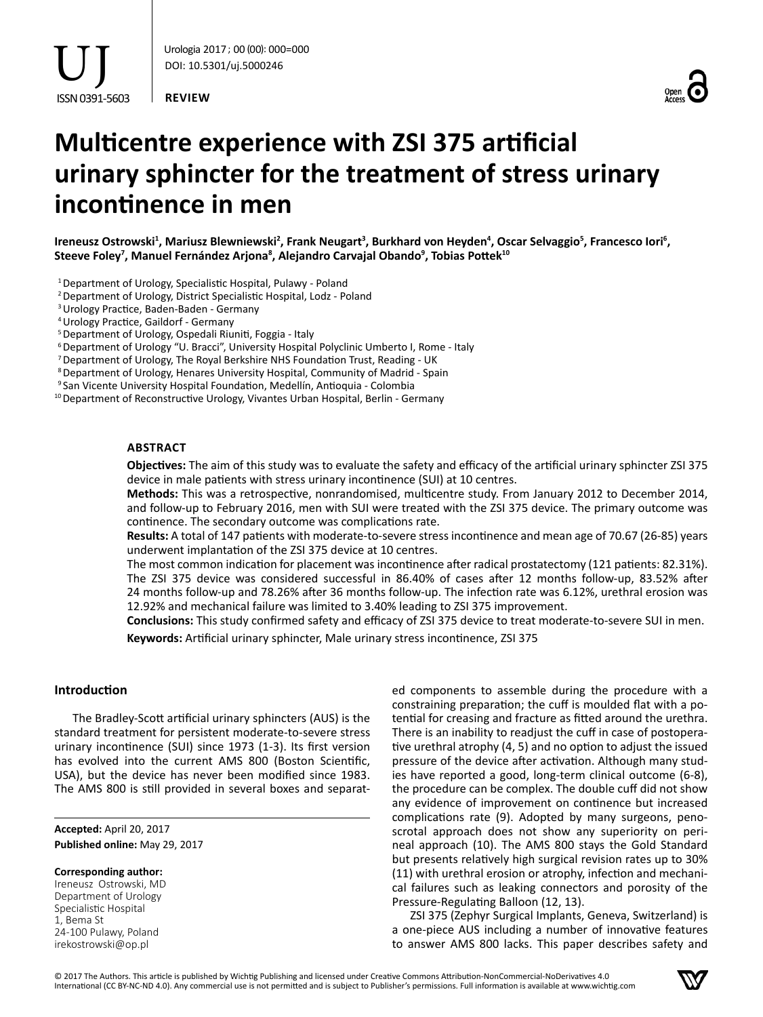**REVIEW**



# **Multicentre experience with ZSI 375 artificial urinary sphincter for the treatment of stress urinary incontinence in men**

Ireneusz Ostrowski<sup>1</sup>, Mariusz Blewniewski<sup>2</sup>, Frank Neugart<sup>3</sup>, Burkhard von Heyden<sup>4</sup>, Oscar Selvaggio<sup>5</sup>, Francesco Iori<sup>6</sup>, **Steeve Foley7 , Manuel Fernández Arjona<sup>8</sup> , Alejandro Carvajal Obando<sup>9</sup> , Tobias Pottek<sup>10</sup>**

<sup>1</sup> Department of Urology, Specialistic Hospital, Pulawy - Poland

2Department of Urology, District Specialistic Hospital, Lodz - Poland

<sup>3</sup> Urology Practice, Baden-Baden - Germany

4Urology Practice, Gaildorf - Germany

<sup>5</sup> Department of Urology, Ospedali Riuniti, Foggia - Italy

<sup>6</sup> Department of Urology "U. Bracci", University Hospital Polyclinic Umberto I, Rome - Italy

<sup>7</sup> Department of Urology, The Royal Berkshire NHS Foundation Trust, Reading - UK

<sup>8</sup> Department of Urology, Henares University Hospital, Community of Madrid - Spain

<sup>9</sup> San Vicente University Hospital Foundation, Medellín, Antioquia - Colombia

<sup>10</sup> Department of Reconstructive Urology, Vivantes Urban Hospital, Berlin - Germany

## **Abstract**

**Objectives:** The aim of this study was to evaluate the safety and efficacy of the artificial urinary sphincter ZSI 375 device in male patients with stress urinary incontinence (SUI) at 10 centres.

**Methods:** This was a retrospective, nonrandomised, multicentre study. From January 2012 to December 2014, and follow-up to February 2016, men with SUI were treated with the ZSI 375 device. The primary outcome was continence. The secondary outcome was complications rate.

**Results:** A total of 147 patients with moderate-to-severe stress incontinence and mean age of 70.67 (26-85) years underwent implantation of the ZSI 375 device at 10 centres.

The most common indication for placement was incontinence after radical prostatectomy (121 patients: 82.31%). The ZSI 375 device was considered successful in 86.40% of cases after 12 months follow-up, 83.52% after 24 months follow-up and 78.26% after 36 months follow-up. The infection rate was 6.12%, urethral erosion was 12.92% and mechanical failure was limited to 3.40% leading to ZSI 375 improvement.

**Conclusions:** This study confirmed safety and efficacy of ZSI 375 device to treat moderate-to-severe SUI in men.

**Keywords:** Artificial urinary sphincter, Male urinary stress incontinence, ZSI 375

## **Introduction**

The Bradley-Scott artificial urinary sphincters (AUS) is the standard treatment for persistent moderate-to-severe stress urinary incontinence (SUI) since 1973 (1-3). Its first version has evolved into the current AMS 800 (Boston Scientific, USA), but the device has never been modified since 1983. The AMS 800 is still provided in several boxes and separat-

**Accepted:** April 20, 2017 **Published online:** May 29, 2017

**Corresponding author:**

Ireneusz Ostrowski, MD Department of Urology Specialistic Hospital 1, Bema St 24-100 Pulawy, Poland irekostrowski@op.pl

ed components to assemble during the procedure with a constraining preparation; the cuff is moulded flat with a potential for creasing and fracture as fitted around the urethra. There is an inability to readjust the cuff in case of postoperative urethral atrophy (4, 5) and no option to adjust the issued pressure of the device after activation. Although many studies have reported a good, long-term clinical outcome (6-8), the procedure can be complex. The double cuff did not show any evidence of improvement on continence but increased complications rate (9). Adopted by many surgeons, penoscrotal approach does not show any superiority on perineal approach (10). The AMS 800 stays the Gold Standard but presents relatively high surgical revision rates up to 30% (11) with urethral erosion or atrophy, infection and mechanical failures such as leaking connectors and porosity of the Pressure-Regulating Balloon (12, 13).

ZSI 375 (Zephyr Surgical Implants, Geneva, Switzerland) is a one-piece AUS including a number of innovative features to answer AMS 800 lacks. This paper describes safety and

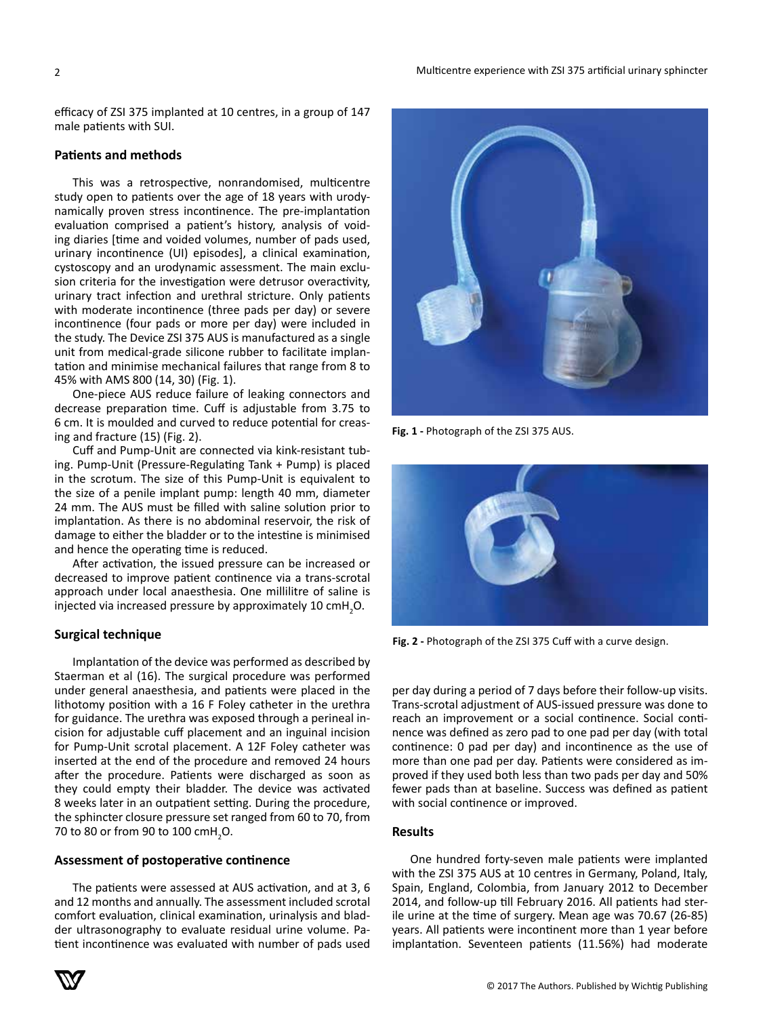efficacy of ZSI 375 implanted at 10 centres, in a group of 147 male patients with SUI.

## **Patients and methods**

This was a retrospective, nonrandomised, multicentre study open to patients over the age of 18 years with urodynamically proven stress incontinence. The pre-implantation evaluation comprised a patient's history, analysis of voiding diaries [time and voided volumes, number of pads used, urinary incontinence (UI) episodes], a clinical examination, cystoscopy and an urodynamic assessment. The main exclusion criteria for the investigation were detrusor overactivity, urinary tract infection and urethral stricture. Only patients with moderate incontinence (three pads per day) or severe incontinence (four pads or more per day) were included in the study. The Device ZSI 375 AUS is manufactured as a single unit from medical-grade silicone rubber to facilitate implantation and minimise mechanical failures that range from 8 to 45% with AMS 800 (14, 30) (Fig. 1).

One-piece AUS reduce failure of leaking connectors and decrease preparation time. Cuff is adjustable from 3.75 to 6 cm. It is moulded and curved to reduce potential for creasing and fracture (15) (Fig. 2).

Cuff and Pump-Unit are connected via kink-resistant tubing. Pump-Unit (Pressure-Regulating Tank + Pump) is placed in the scrotum. The size of this Pump-Unit is equivalent to the size of a penile implant pump: length 40 mm, diameter 24 mm. The AUS must be filled with saline solution prior to implantation. As there is no abdominal reservoir, the risk of damage to either the bladder or to the intestine is minimised and hence the operating time is reduced.

After activation, the issued pressure can be increased or decreased to improve patient continence via a trans-scrotal approach under local anaesthesia. One millilitre of saline is injected via increased pressure by approximately 10  $\text{cm}$ H<sub>2</sub>O.

## **Surgical technique**

Implantation of the device was performed as described by Staerman et al (16). The surgical procedure was performed under general anaesthesia, and patients were placed in the lithotomy position with a 16 F Foley catheter in the urethra for guidance. The urethra was exposed through a perineal incision for adjustable cuff placement and an inguinal incision for Pump-Unit scrotal placement. A 12F Foley catheter was inserted at the end of the procedure and removed 24 hours after the procedure. Patients were discharged as soon as they could empty their bladder. The device was activated 8 weeks later in an outpatient setting. During the procedure, the sphincter closure pressure set ranged from 60 to 70, from 70 to 80 or from 90 to 100  $\text{cmH}_{2}$ O.

### **Assessment of postoperative continence**

The patients were assessed at AUS activation, and at 3, 6 and 12 months and annually. The assessment included scrotal comfort evaluation, clinical examination, urinalysis and bladder ultrasonography to evaluate residual urine volume. Patient incontinence was evaluated with number of pads used



**Fig. 1 -** Photograph of the ZSI 375 AUS.



**Fig. 2 -** Photograph of the ZSI 375 Cuff with a curve design.

per day during a period of 7 days before their follow-up visits. Trans-scrotal adjustment of AUS-issued pressure was done to reach an improvement or a social continence. Social continence was defined as zero pad to one pad per day (with total continence: 0 pad per day) and incontinence as the use of more than one pad per day. Patients were considered as improved if they used both less than two pads per day and 50% fewer pads than at baseline. Success was defined as patient with social continence or improved.

# **Results**

One hundred forty-seven male patients were implanted with the ZSI 375 AUS at 10 centres in Germany, Poland, Italy, Spain, England, Colombia, from January 2012 to December 2014, and follow-up till February 2016. All patients had sterile urine at the time of surgery. Mean age was 70.67 (26-85) years. All patients were incontinent more than 1 year before implantation. Seventeen patients (11.56%) had moderate

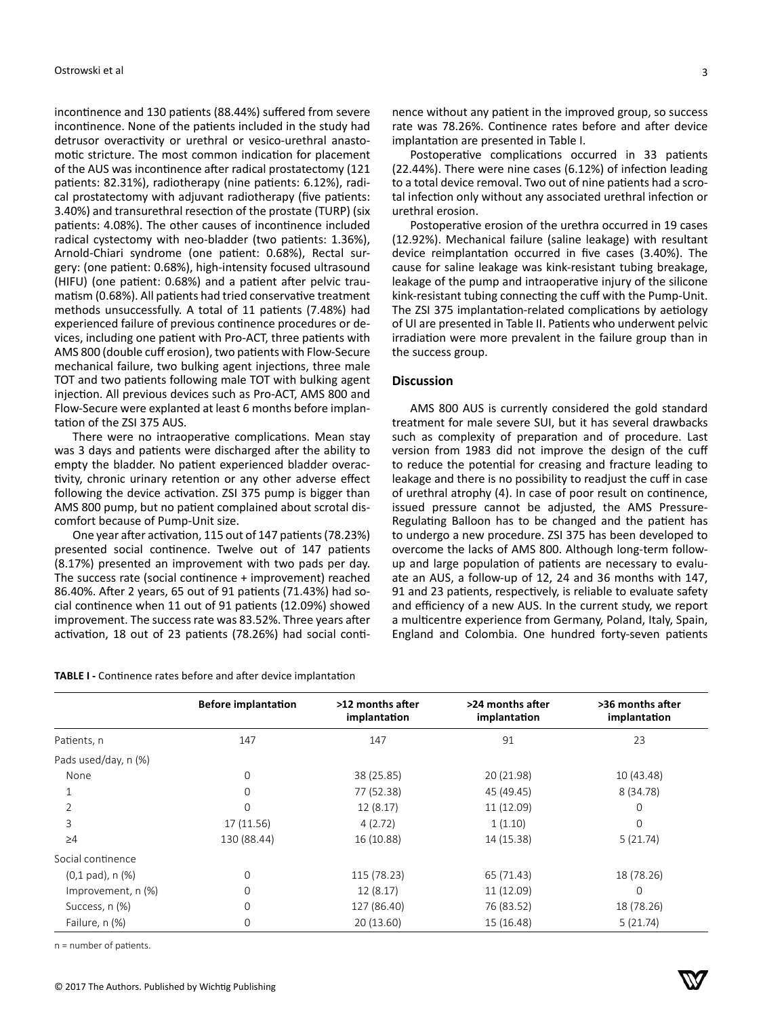incontinence and 130 patients (88.44%) suffered from severe incontinence. None of the patients included in the study had detrusor overactivity or urethral or vesico-urethral anastomotic stricture. The most common indication for placement of the AUS was incontinence after radical prostatectomy (121 patients: 82.31%), radiotherapy (nine patients: 6.12%), radical prostatectomy with adjuvant radiotherapy (five patients: 3.40%) and transurethral resection of the prostate (TURP) (six patients: 4.08%). The other causes of incontinence included radical cystectomy with neo-bladder (two patients: 1.36%), Arnold-Chiari syndrome (one patient: 0.68%), Rectal surgery: (one patient: 0.68%), high-intensity focused ultrasound (HIFU) (one patient: 0.68%) and a patient after pelvic traumatism (0.68%). All patients had tried conservative treatment methods unsuccessfully. A total of 11 patients (7.48%) had experienced failure of previous continence procedures or devices, including one patient with Pro-ACT, three patients with AMS 800 (double cuff erosion), two patients with Flow-Secure mechanical failure, two bulking agent injections, three male TOT and two patients following male TOT with bulking agent injection. All previous devices such as Pro-ACT, AMS 800 and Flow-Secure were explanted at least 6 months before implantation of the ZSI 375 AUS.

There were no intraoperative complications. Mean stay was 3 days and patients were discharged after the ability to empty the bladder. No patient experienced bladder overactivity, chronic urinary retention or any other adverse effect following the device activation. ZSI 375 pump is bigger than AMS 800 pump, but no patient complained about scrotal discomfort because of Pump-Unit size.

One year after activation, 115 out of 147 patients (78.23%) presented social continence. Twelve out of 147 patients (8.17%) presented an improvement with two pads per day. The success rate (social continence + improvement) reached 86.40%. After 2 years, 65 out of 91 patients (71.43%) had social continence when 11 out of 91 patients (12.09%) showed improvement. The success rate was 83.52%. Three years after activation, 18 out of 23 patients (78.26%) had social conti-

| TABLE I - Continence rates before and after device implantation |  |  |  |  |
|-----------------------------------------------------------------|--|--|--|--|
|-----------------------------------------------------------------|--|--|--|--|

nence without any patient in the improved group, so success rate was 78.26%. Continence rates before and after device implantation are presented in Table I.

Postoperative complications occurred in 33 patients (22.44%). There were nine cases (6.12%) of infection leading to a total device removal. Two out of nine patients had a scrotal infection only without any associated urethral infection or urethral erosion.

Postoperative erosion of the urethra occurred in 19 cases (12.92%). Mechanical failure (saline leakage) with resultant device reimplantation occurred in five cases (3.40%). The cause for saline leakage was kink-resistant tubing breakage, leakage of the pump and intraoperative injury of the silicone kink-resistant tubing connecting the cuff with the Pump-Unit. The ZSI 375 implantation-related complications by aetiology of UI are presented in Table II. Patients who underwent pelvic irradiation were more prevalent in the failure group than in the success group.

# **Discussion**

AMS 800 AUS is currently considered the gold standard treatment for male severe SUI, but it has several drawbacks such as complexity of preparation and of procedure. Last version from 1983 did not improve the design of the cuff to reduce the potential for creasing and fracture leading to leakage and there is no possibility to readjust the cuff in case of urethral atrophy (4). In case of poor result on continence, issued pressure cannot be adjusted, the AMS Pressure-Regulating Balloon has to be changed and the patient has to undergo a new procedure. ZSI 375 has been developed to overcome the lacks of AMS 800. Although long-term followup and large population of patients are necessary to evaluate an AUS, a follow-up of 12, 24 and 36 months with 147, 91 and 23 patients, respectively, is reliable to evaluate safety and efficiency of a new AUS. In the current study, we report a multicentre experience from Germany, Poland, Italy, Spain, England and Colombia. One hundred forty-seven patients

|                                | <b>Before implantation</b> | >12 months after<br>implantation | >24 months after<br>implantation | >36 months after<br>implantation |
|--------------------------------|----------------------------|----------------------------------|----------------------------------|----------------------------------|
| Patients, n                    | 147                        | 147                              | 91                               | 23                               |
| Pads used/day, n (%)           |                            |                                  |                                  |                                  |
| None                           | 0                          | 38 (25.85)                       | 20 (21.98)                       | 10 (43.48)                       |
|                                | 0                          | 77 (52.38)                       | 45 (49.45)                       | 8 (34.78)                        |
|                                | 0                          | 12 (8.17)                        | 11 (12.09)                       | $\mathbf 0$                      |
| 3                              | 17 (11.56)                 | 4(2.72)                          | 1(1.10)                          | $\Omega$                         |
| $\geq 4$                       | 130 (88.44)                | 16 (10.88)                       | 14 (15.38)                       | 5(21.74)                         |
| Social continence              |                            |                                  |                                  |                                  |
| $(0,1 \text{ pad})$ , n $(\%)$ | 0                          | 115 (78.23)                      | 65 (71.43)                       | 18 (78.26)                       |
| Improvement, n (%)             | 0                          | 12(8.17)                         | 11(12.09)                        | $\mathbf 0$                      |
| Success, n (%)                 | 0                          | 127 (86.40)                      | 76 (83.52)                       | 18 (78.26)                       |
| Failure, n (%)                 | 0                          | 20(13.60)                        | 15 (16.48)                       | 5(21.74)                         |

n = number of patients.

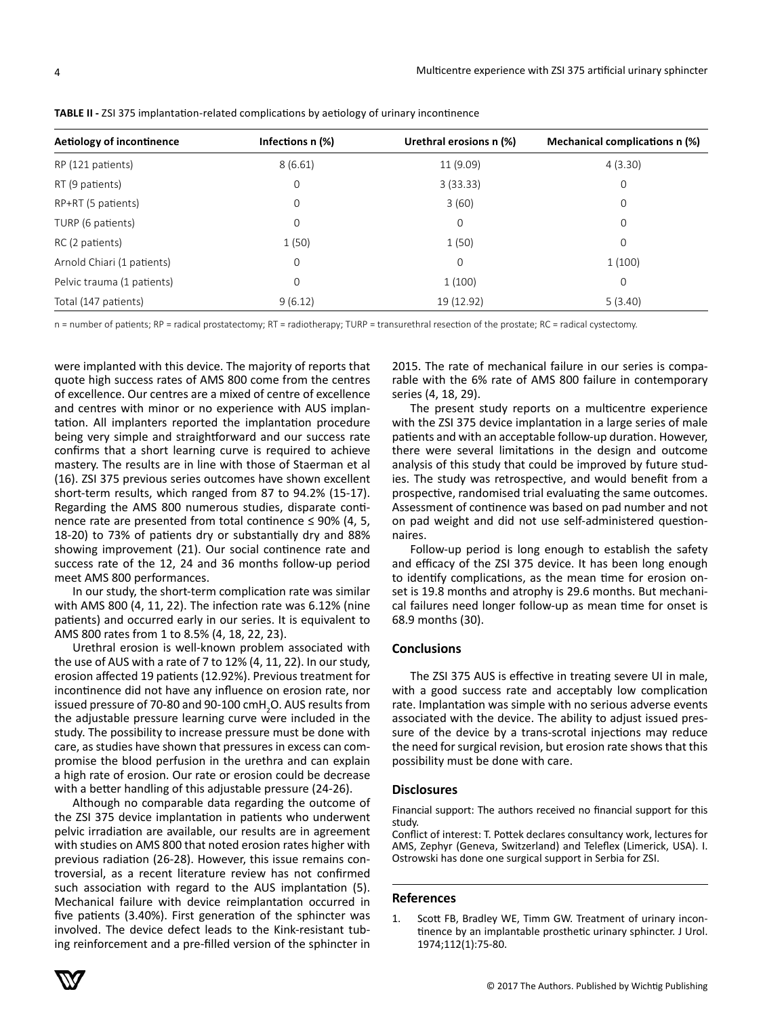| Aetiology of incontinence  | Infections n (%) | Urethral erosions n (%) | Mechanical complications n (%) |
|----------------------------|------------------|-------------------------|--------------------------------|
| RP (121 patients)          | 8(6.61)          | 11(9.09)                | 4(3.30)                        |
| RT (9 patients)            | $\mathbf 0$      | 3(33.33)                | $\mathbf 0$                    |
| RP+RT (5 patients)         | $\mathbf 0$      | 3(60)                   | $\mathbf 0$                    |
| TURP (6 patients)          | $\mathbf 0$      | $\mathbf 0$             | $\mathbf 0$                    |
| RC (2 patients)            | 1(50)            | 1(50)                   | 0                              |
| Arnold Chiari (1 patients) | 0                | $\mathbf 0$             | 1(100)                         |
| Pelvic trauma (1 patients) | 0                | 1(100)                  | 0                              |
| Total (147 patients)       | 9(6.12)          | 19 (12.92)              | 5(3.40)                        |

**TABLE II -** ZSI 375 implantation-related complications by aetiology of urinary incontinence

n = number of patients; RP = radical prostatectomy; RT = radiotherapy; TURP = transurethral resection of the prostate; RC = radical cystectomy.

were implanted with this device. The majority of reports that quote high success rates of AMS 800 come from the centres of excellence. Our centres are a mixed of centre of excellence and centres with minor or no experience with AUS implantation. All implanters reported the implantation procedure being very simple and straightforward and our success rate confirms that a short learning curve is required to achieve mastery. The results are in line with those of Staerman et al (16). ZSI 375 previous series outcomes have shown excellent short-term results, which ranged from 87 to 94.2% (15-17). Regarding the AMS 800 numerous studies, disparate continence rate are presented from total continence  $\leq$  90% (4, 5, 18-20) to 73% of patients dry or substantially dry and 88% showing improvement (21). Our social continence rate and success rate of the 12, 24 and 36 months follow-up period meet AMS 800 performances.

In our study, the short-term complication rate was similar with AMS 800 (4, 11, 22). The infection rate was 6.12% (nine patients) and occurred early in our series. It is equivalent to AMS 800 rates from 1 to 8.5% (4, 18, 22, 23).

Urethral erosion is well-known problem associated with the use of AUS with a rate of 7 to 12% (4, 11, 22). In our study, erosion affected 19 patients (12.92%). Previous treatment for incontinence did not have any influence on erosion rate, nor issued pressure of 70-80 and 90-100  $\text{cmH}_{2}$ O. AUS results from the adjustable pressure learning curve were included in the study. The possibility to increase pressure must be done with care, as studies have shown that pressures in excess can compromise the blood perfusion in the urethra and can explain a high rate of erosion. Our rate or erosion could be decrease with a better handling of this adjustable pressure (24-26).

Although no comparable data regarding the outcome of the ZSI 375 device implantation in patients who underwent pelvic irradiation are available, our results are in agreement with studies on AMS 800 that noted erosion rates higher with previous radiation (26-28). However, this issue remains controversial, as a recent literature review has not confirmed such association with regard to the AUS implantation (5). Mechanical failure with device reimplantation occurred in five patients (3.40%). First generation of the sphincter was involved. The device defect leads to the Kink-resistant tubing reinforcement and a pre-filled version of the sphincter in

2015. The rate of mechanical failure in our series is comparable with the 6% rate of AMS 800 failure in contemporary series (4, 18, 29).

The present study reports on a multicentre experience with the ZSI 375 device implantation in a large series of male patients and with an acceptable follow-up duration. However, there were several limitations in the design and outcome analysis of this study that could be improved by future studies. The study was retrospective, and would benefit from a prospective, randomised trial evaluating the same outcomes. Assessment of continence was based on pad number and not on pad weight and did not use self-administered questionnaires.

Follow-up period is long enough to establish the safety and efficacy of the ZSI 375 device. It has been long enough to identify complications, as the mean time for erosion onset is 19.8 months and atrophy is 29.6 months. But mechanical failures need longer follow-up as mean time for onset is 68.9 months (30).

## **Conclusions**

The ZSI 375 AUS is effective in treating severe UI in male, with a good success rate and acceptably low complication rate. Implantation was simple with no serious adverse events associated with the device. The ability to adjust issued pressure of the device by a trans-scrotal injections may reduce the need for surgical revision, but erosion rate shows that this possibility must be done with care.

## **Disclosures**

Financial support: The authors received no financial support for this study.

Conflict of interest: T. Pottek declares consultancy work, lectures for AMS, Zephyr (Geneva, Switzerland) and Teleflex (Limerick, USA). I. Ostrowski has done one surgical support in Serbia for ZSI.

## **References**



<sup>1.</sup> Scott FB, Bradley WE, Timm GW. Treatment of urinary incontinence by an implantable prosthetic urinary sphincter. J Urol. 1974;112(1):75-80.